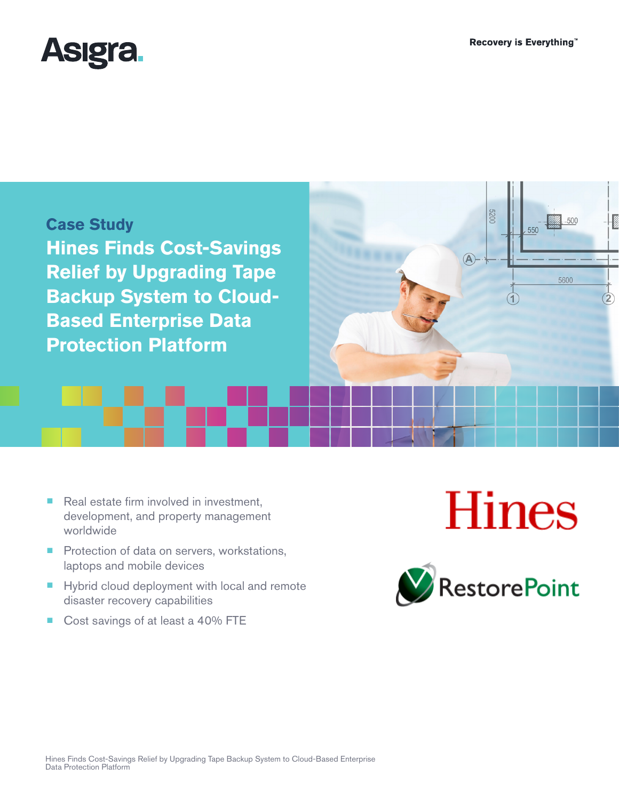**2200** 

 $500$ 

5600

550





- Real estate firm involved in investment, development, and property management worldwide
- Protection of data on servers, workstations, laptops and mobile devices
- Hybrid cloud deployment with local and remote disaster recovery capabilities
- Cost savings of at least a 40% FTE

# **Hines**

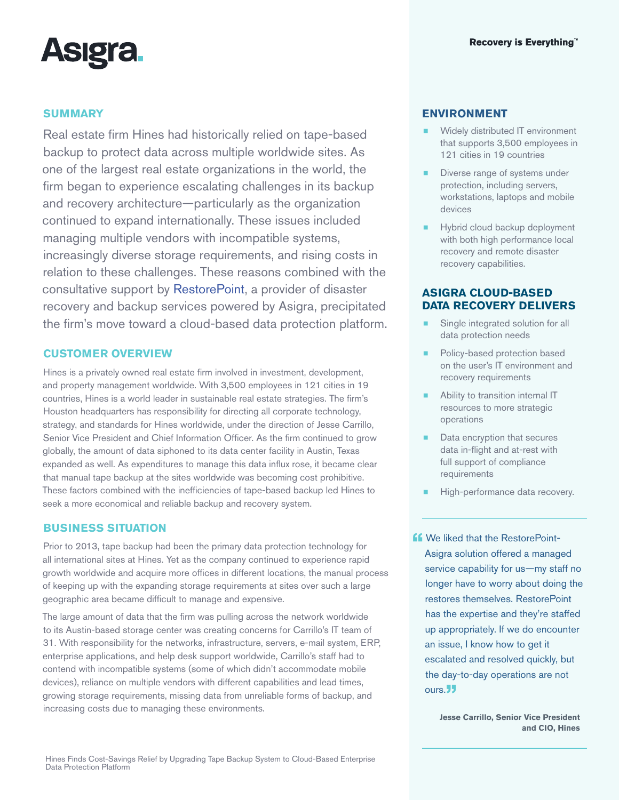

# **SUMMARY**

Real estate firm Hines had historically relied on tape-based backup to protect data across multiple worldwide sites. As one of the largest real estate organizations in the world, the firm began to experience escalating challenges in its backup and recovery architecture—particularly as the organization continued to expand internationally. These issues included managing multiple vendors with incompatible systems, increasingly diverse storage requirements, and rising costs in relation to these challenges. These reasons combined with the consultative support by [RestorePoint](http://www.restorepoint.net/), a provider of disaster recovery and backup services powered by Asigra, precipitated the firm's move toward a cloud-based data protection platform.

# **CUSTOMER OVERVIEW**

Hines is a privately owned real estate firm involved in investment, development, and property management worldwide. With 3,500 employees in 121 cities in 19 countries, Hines is a world leader in sustainable real estate strategies. The firm's Houston headquarters has responsibility for directing all corporate technology, strategy, and standards for Hines worldwide, under the direction of Jesse Carrillo, Senior Vice President and Chief Information Officer. As the firm continued to grow globally, the amount of data siphoned to its data center facility in Austin, Texas expanded as well. As expenditures to manage this data influx rose, it became clear that manual tape backup at the sites worldwide was becoming cost prohibitive. These factors combined with the inefficiencies of tape-based backup led Hines to seek a more economical and reliable backup and recovery system.

## **BUSINESS SITUATION**

Prior to 2013, tape backup had been the primary data protection technology for all international sites at Hines. Yet as the company continued to experience rapid growth worldwide and acquire more offices in different locations, the manual process of keeping up with the expanding storage requirements at sites over such a large geographic area became difficult to manage and expensive.

The large amount of data that the firm was pulling across the network worldwide to its Austin-based storage center was creating concerns for Carrillo's IT team of 31. With responsibility for the networks, infrastructure, servers, e-mail system, ERP, enterprise applications, and help desk support worldwide, Carrillo's staff had to contend with incompatible systems (some of which didn't accommodate mobile devices), reliance on multiple vendors with different capabilities and lead times, growing storage requirements, missing data from unreliable forms of backup, and increasing costs due to managing these environments.

## **ENVIRONMENT**

- Widely distributed IT environment that supports 3,500 employees in 121 cities in 19 countries
- Diverse range of systems under protection, including servers, workstations, laptops and mobile devices
- **EXECUTE:** Hybrid cloud backup deployment with both high performance local recovery and remote disaster recovery capabilities.

# **ASIGRA CLOUD-BASED DATA RECOVERY DELIVERS**

- Single integrated solution for all data protection needs
- Policy-based protection based on the user's IT environment and recovery requirements
- Ability to transition internal IT resources to more strategic operations
- Data encryption that secures data in-flight and at-rest with full support of compliance requirements
- High-performance data recovery.

**ff** We liked that the RestorePoint-<br>Asigra solution offered a managed service capability for us—my staff no longer have to worry about doing the restores themselves. RestorePoint has the expertise and they're staffed up appropriately. If we do encounter an issue, I know how to get it escalated and resolved quickly, but the day-to-day operations are not ours.<sup>33</sup>

> **Jesse Carrillo, Senior Vice President and CIO, Hines**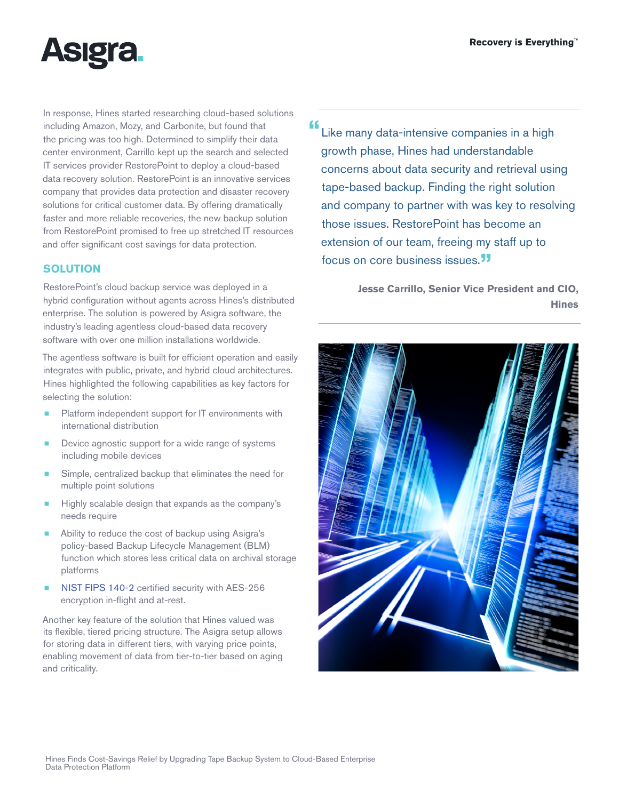

In response, Hines started researching cloud-based solutions including Amazon, Mozy, and Carbonite, but found that the pricing was too high. Determined to simplify their data center environment, Carrillo kept up the search and selected IT services provider <RestorePoint>to deploy a cloud-based data recovery solution. RestorePoint is an innovative services company that provides data protection and disaster recovery solutions for critical customer data. By offering dramatically faster and more reliable recoveries, the new backup solution from RestorePoint promised to free up stretched IT resources and offer significant cost savings for data protection.

# **SOLUTION**

RestorePoint's cloud backup service was deployed in a hybrid configuration without agents across Hines's distributed enterprise. The solution is powered by Asigra software, the industry's leading agentless cloud-based data recovery software with over one million installations worldwide.

The agentless software is built for efficient operation and easily integrates with public, private, and hybrid cloud architectures. Hines highlighted the following capabilities as key factors for selecting the solution:

- Platform independent support for IT environments with international distribution
- Device agnostic support for a wide range of systems including mobile devices
- Simple, centralized backup that eliminates the need for multiple point solutions
- Highly scalable design that expands as the company's needs require
- Ability to reduce the cost of backup using Asigra's policy-based Backup Lifecycle Management (BLM) function which stores less critical data on archival storage platforms
- [NIST FIPS 140-2](http://www.asigra.com/fips-140-2-certification-backup) certified security with AES-256 encryption in-flight and at-rest.

Another key feature of the solution that Hines valued was its flexible, tiered pricing structure. The Asigra setup allows for storing data in different tiers, with varying price points, enabling movement of data from tier-to-tier based on aging and criticality.

"Like many data-intensive companies in a high growth phase, Hines had understandable concerns about data security and retrieval using tape-based backup. Finding the right solution and company to partner with was key to resolving those issues. RestorePoint has become an extension of our team, freeing my staff up to focus on core business issues.<sup>"</sup>

> **Jesse Carrillo, Senior Vice President and CIO, Hines**